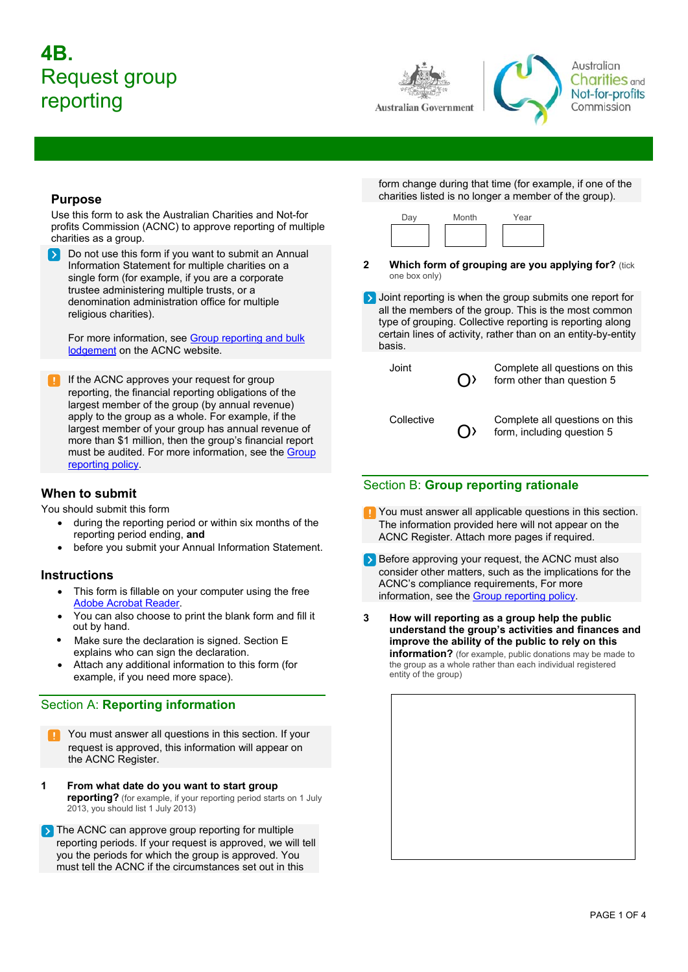# **4B.**  Request group reporting



Australian **Charities** and Not-for-profits Commission

# **Purpose**

Use this form to ask the Australian Charities and Not-for profits Commission (ACNC) to approve reporting of multiple charities as a group.

Do not use this form if you want to submit an Annual Information Statement for multiple charities on a single form (for example, if you are a corporate trustee administering multiple trusts, or a denomination administration office for multiple religious charities).

For more inf[ormation, see Group reporting and bulk](www.acnc.gov.au/bulklodgement)  [lodgement on the ACNC](www.acnc.gov.au/bulklodgement) website.

If the ACNC approves your request for group reporting, the financial reporting obligations of the largest member of the group (by annual revenue) apply to the group as a whole. For example, if the largest member of your group has annual revenue of more than \$1 million, then the group's financial report must be audited. For more information, see the [Group](https://www.acnc.gov.au/about/corporate-information/corporate-policies/commissioners-policy-statement-group-reporting-joint-and-collective)  [reporting policy](https://www.acnc.gov.au/about/corporate-information/corporate-policies/commissioners-policy-statement-group-reporting-joint-and-collective).

# **When to submit**

You should submit this form

- during the reporting period or within six months of the reporting period ending, **and**
- before you submit your Annual Information Statement.

# **Instructions**

- This form is fillable on your computer using the free [Adobe Acrobat Reader](http://www.adobe.com/au/products/reader.html).
- x You can also choose to print the blank form and fill it out by hand.
- explains who can sign the declaration. Make sure the declaration is signed. Section E
- Attach any additional information to this form (for example, if you need more space).

# Section A: **Reporting information**

- You must answer all questions in this section. If your request is approved, this information will appear on the ACNC Register.
- **1 From what date do you want to start group reporting?** (for example, if your reporting period starts on 1 July 2013, you should list 1 July 2013)
- The ACNC can approve group reporting for multiple reporting periods. If your request is approved, we will tell you the periods for which the group is approved. You must tell the ACNC if the circumstances set out in this

form change during that time (for example, if one of the charities listed is no longer a member of the group).



- **2** Which form of grouping are you applying for? (tick one box only)
- **D** Joint reporting is when the group submits one report for all the members of the group. This is the most common type of grouping. Collective reporting is reporting along certain lines of activity, rather than on an entity-by-entity basis.

| Joint      | $\bigcap$ | Complete all questions on this<br>form other than question 5 |
|------------|-----------|--------------------------------------------------------------|
| Collective | $\bigcap$ | Complete all questions on this<br>form, including question 5 |

# Section B: **Group reporting rationale**

- **P** You must answer all applicable questions in this section. The information provided here will not appear on the ACNC Register. Attach more pages if required.
- Before approving your request, the ACNC must also consider other matters, such as the implications for the ACNC's compliance requirements, For more information, see the [Group reporting policy.](https://www.acnc.gov.au/about/corporate-information/corporate-policies/commissioners-policy-statement-group-reporting-joint-and-collective)
- **3 How will reporting as a group help the public understand the group's activities and finances and improve the ability of the public to rely on this information?** (for example, public donations may be made to the group as a whole rather than each individual registered entity of the group)

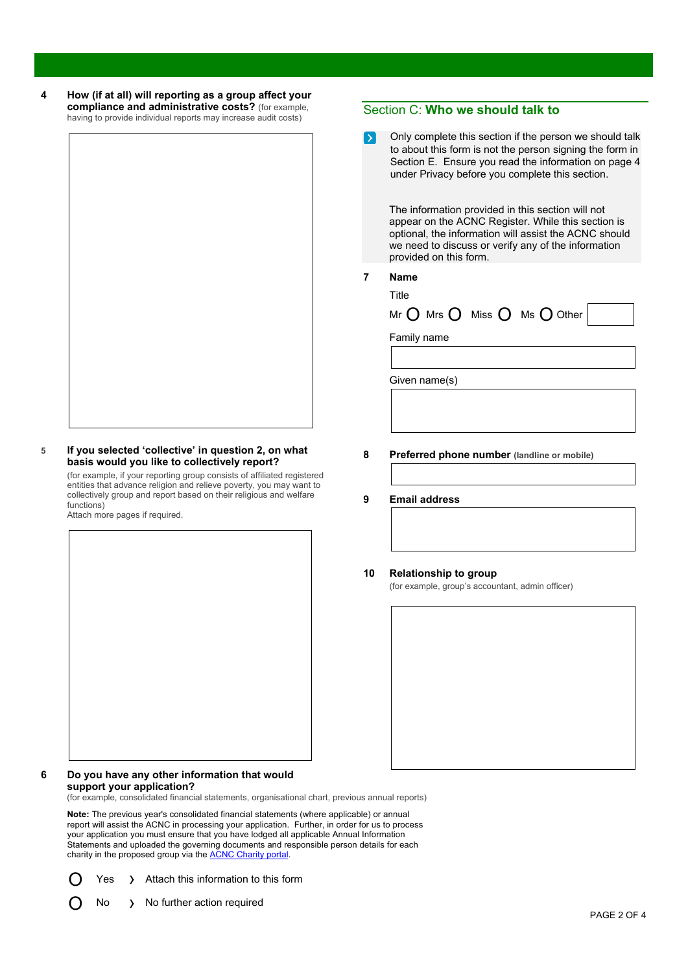**4 How (if at all) will reporting as a group affect your compliance and administrative costs?** (for example, having to provide individual reports may increase audit costs)

### <span id="page-1-0"></span>**5 If you selected 'collective' in question 2, on what basis would you like to collectively report?**

(for example, if your reporting group consists of affiliated registered entities that advance religion and relieve poverty, you may want to collectively group and report based on their religious and welfare functions)

Attach more pages if required.

#### **6 Do you have any other information that would support your application?**

(for example, consolidated financial statements, organisational chart, previous annual reports)

**Note:** The previous year's consolidated financial statements (where applicable) or annual report will assist the ACNC in processing your application. Further, in order for us to process your application you must ensure that you have lodged all applicable Annual Information Statements and uploaded the governing documents and responsible person details for each charity in the proposed group via the **ACNC [Charity](http://charity.acnc.gov.au) portal** 

- Yes > Attach this information to this form
- No > No further action required

# Section C: **Who we should talk to**

Only complete this section if the person we should talk to about this form is not the person signing the form in Section E. Ensure you read the information on page 4 under Privacy before you complete this section.

The information provided in this section will not appear on the ACNC Register. While this section is optional, the information will assist the ACNC should we need to discuss or verify any of the information provided on this form.

### **7 Name**

Title

Mr  $\bigcap$  Mrs  $\bigcap$  Miss  $\bigcap$  Ms  $\bigcap$  Other

Family name

Given name(s)

- **8 Preferred phone number (landline or mobile)**
- **9 Email address**

### **10 Relationship to group**

(for example, group's accountant, admin officer)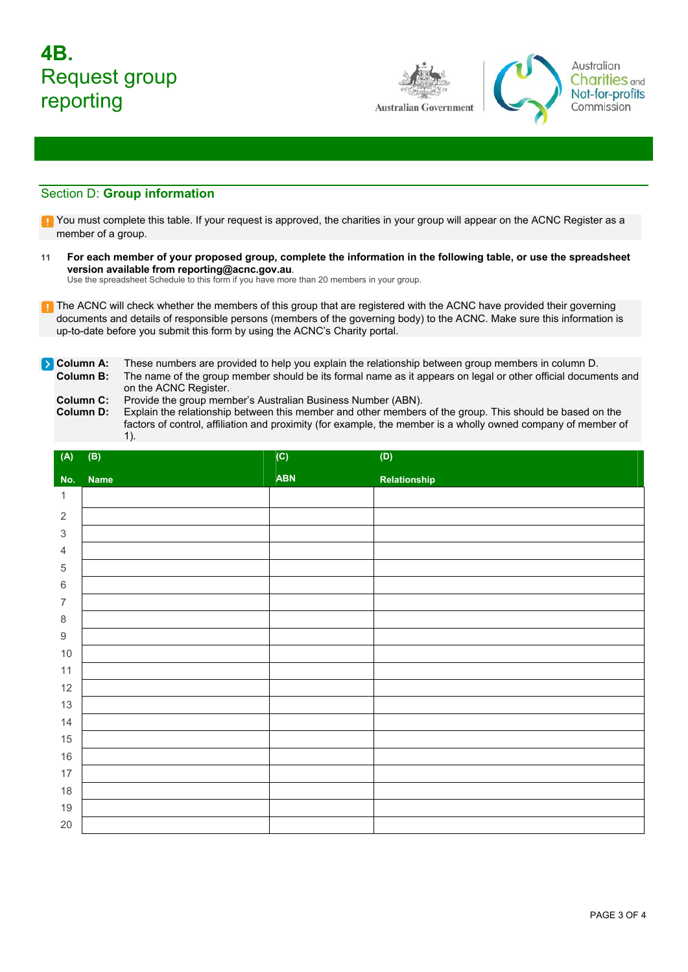# **4B.**  Request group reporting



Australian **Charities** and Not-for-profits Commission

# Section D: **Group information**

- T You must complete this table. If your request is approved, the charities in your group will appear on the ACNC Register as a member of a group.
- **11 For each member of your proposed group, complete the information in the following table, or use the spreadsheet version available from reporting@acnc.gov.au.**

Use the spreadsheet Schedule to this form if you have more than 20 members in your group.

- **T** The ACNC will check whether the members of this group that are registered with the ACNC have provided their governing documents and details of responsible persons (members of the governing body) to the ACNC. Make sure this information is up-to-date before you submit this form by using the ACNC's Charity portal.
- **Column A:** These numbers are provided to help you explain the relationship between group members in column D. **Column B:** The name of the group member should be its formal name as it appears on legal or other official documents and
	- on the ACNC Register.

**Column C:** Provide the group member's Australian Business Number (ABN).<br>**Column D:** Explain the relationship between this member and other members Explain the relationship between this member and other members of the group. This should be based on the factors of control, affiliation and proximity (for example, the member is a wholly owned company of member of 1).

| (A)              | (B)         | $\overline{(\mathsf{C})}$ | $\left( \mathsf{D}\right)$ |
|------------------|-------------|---------------------------|----------------------------|
| No.              | <b>Name</b> | <b>ABN</b>                | Relationship               |
| $\mathbf{1}$     |             |                           |                            |
| $\overline{2}$   |             |                           |                            |
| $\sqrt{3}$       |             |                           |                            |
| $\overline{4}$   |             |                           |                            |
| $\,$ 5 $\,$      |             |                           |                            |
| $\,6\,$          |             |                           |                            |
| $\boldsymbol{7}$ |             |                           |                            |
| $\,8\,$          |             |                           |                            |
| $\boldsymbol{9}$ |             |                           |                            |
| $10$             |             |                           |                            |
| 11               |             |                           |                            |
| 12               |             |                           |                            |
| 13               |             |                           |                            |
| 14               |             |                           |                            |
| 15               |             |                           |                            |
| 16               |             |                           |                            |
| 17               |             |                           |                            |
| $18$             |             |                           |                            |
| $19$             |             |                           |                            |
| $20\,$           |             |                           |                            |